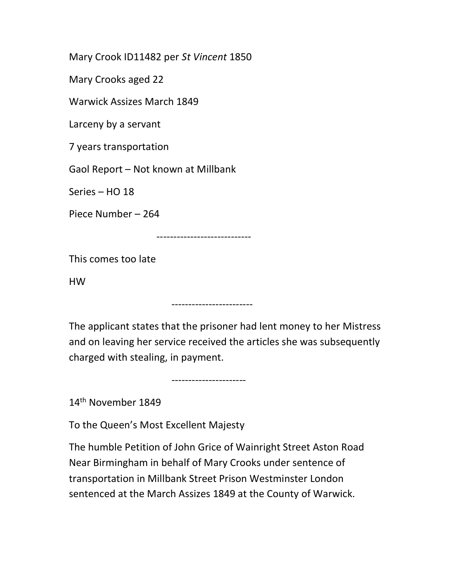Mary Crook ID11482 per St Vincent 1850

Mary Crooks aged 22

Warwick Assizes March 1849

Larceny by a servant

7 years transportation

Gaol Report – Not known at Millbank

Series – HO 18

Piece Number – 264

----------------------------

------------------------

This comes too late

HW

The applicant states that the prisoner had lent money to her Mistress and on leaving her service received the articles she was subsequently charged with stealing, in payment.

14th November 1849

To the Queen's Most Excellent Majesty

----------------------

The humble Petition of John Grice of Wainright Street Aston Road Near Birmingham in behalf of Mary Crooks under sentence of transportation in Millbank Street Prison Westminster London sentenced at the March Assizes 1849 at the County of Warwick.